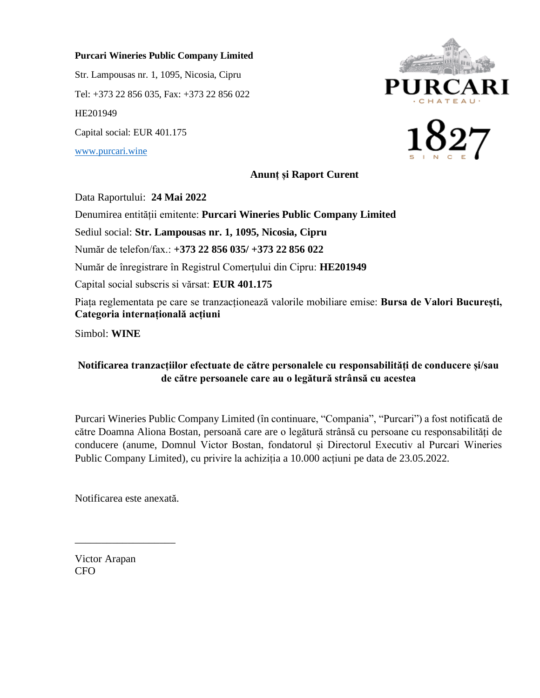## **Purcari Wineries Public Company Limited**

Str. Lampousas nr. 1, 1095, Nicosia, Cipru Tel: +373 22 856 035, Fax: +373 22 856 022 HE201949 Capital social: EUR 401.175 [www.purcari.wine](http://www.purcari.wine/)

**JRCA** 



**Anunț și Raport Curent**

Data Raportului: **24 Mai 2022**

Denumirea entității emitente: **Purcari Wineries Public Company Limited**

Sediul social: **Str. Lampousas nr. 1, 1095, Nicosia, Cipru**

Număr de telefon/fax.: **+373 22 856 035/ +373 22 856 022**

Număr de înregistrare în Registrul Comerțului din Cipru: **HE201949**

Capital social subscris si vărsat: **EUR 401.175**

Piața reglementata pe care se tranzacționează valorile mobiliare emise: **Bursa de Valori București, Categoria internațională acțiuni**

Simbol: **WINE**

## **Notificarea tranzacțiilor efectuate de către personalele cu responsabilități de conducere și/sau de către persoanele care au o legătură strânsă cu acestea**

Purcari Wineries Public Company Limited (în continuare, "Compania", "Purcari") a fost notificată de către Doamna Aliona Bostan, persoană care are o legătură strânsă cu persoane cu responsabilități de conducere (anume, Domnul Victor Bostan, fondatorul și Directorul Executiv al Purcari Wineries Public Company Limited), cu privire la achiziția a 10.000 acțiuni pe data de 23.05.2022.

Notificarea este anexată.

\_\_\_\_\_\_\_\_\_\_\_\_\_\_\_\_\_\_\_

Victor Arapan CFO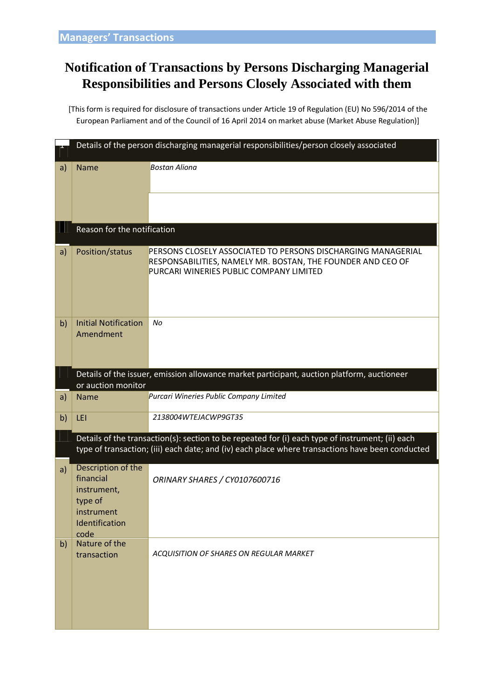## **Notification of Transactions by Persons Discharging Managerial Responsibilities and Persons Closely Associated with them**

[This form is required for disclosure of transactions under Article 19 of Regulation (EU) No 596/2014 of the European Parliament and of the Council of 16 April 2014 on market abuse (Market Abuse Regulation)]

|    | Details of the person discharging managerial responsibilities/person closely associated                                                                                                              |                                                                                                                                                                        |  |  |  |  |  |
|----|------------------------------------------------------------------------------------------------------------------------------------------------------------------------------------------------------|------------------------------------------------------------------------------------------------------------------------------------------------------------------------|--|--|--|--|--|
| a) | <b>Name</b>                                                                                                                                                                                          | <b>Bostan Aliona</b>                                                                                                                                                   |  |  |  |  |  |
|    | Reason for the notification                                                                                                                                                                          |                                                                                                                                                                        |  |  |  |  |  |
| a) | Position/status                                                                                                                                                                                      | PERSONS CLOSELY ASSOCIATED TO PERSONS DISCHARGING MANAGERIAL<br>RESPONSABILITIES, NAMELY MR. BOSTAN, THE FOUNDER AND CEO OF<br>PURCARI WINERIES PUBLIC COMPANY LIMITED |  |  |  |  |  |
| b) | <b>Initial Notification</b><br>Amendment                                                                                                                                                             | No                                                                                                                                                                     |  |  |  |  |  |
|    | Details of the issuer, emission allowance market participant, auction platform, auctioneer<br>or auction monitor                                                                                     |                                                                                                                                                                        |  |  |  |  |  |
| a) | <b>Name</b>                                                                                                                                                                                          | Purcari Wineries Public Company Limited                                                                                                                                |  |  |  |  |  |
| b) | LEI                                                                                                                                                                                                  | 2138004WTEJACWP9GT35                                                                                                                                                   |  |  |  |  |  |
|    | Details of the transaction(s): section to be repeated for (i) each type of instrument; (ii) each<br>type of transaction; (iii) each date; and (iv) each place where transactions have been conducted |                                                                                                                                                                        |  |  |  |  |  |
| a) | Description of the<br>financial<br>instrument,<br>type of<br>instrument<br>Identification<br>code                                                                                                    | ORINARY SHARES / CY0107600716                                                                                                                                          |  |  |  |  |  |
| b) | Nature of the<br>transaction                                                                                                                                                                         | <b>ACQUISITION OF SHARES ON REGULAR MARKET</b>                                                                                                                         |  |  |  |  |  |